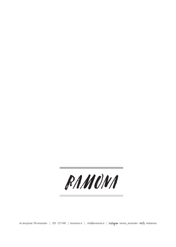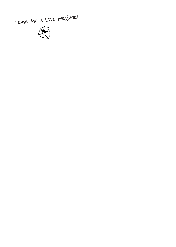LEAVE ME A LOVE MESSAGE!

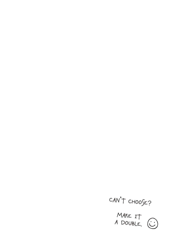

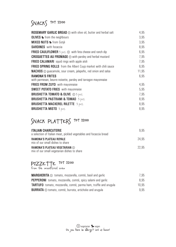### SNACKS TOT 22:00

| <b>ROSEMARY GARLIC BREAD</b> $\odot$ with olive oil, butter and herbal salt               | 4,95  |
|-------------------------------------------------------------------------------------------|-------|
| <b>OLIVES</b> Strom the neighbours                                                        | 3,95  |
| <b>MIXED NUTS S</b> from Gotjé                                                            | 3,95  |
| <b>SARDINES</b> with focaccia                                                             | 8,95  |
| <b>FRIED CAULIFLOWER</b> $3 \text{ pcs.} \otimes \text{ with feta cheese and random dip}$ | 6,95  |
| <b>CROQUETTES AU FROMAGE</b> $\odot$ with parsley and herbal mustard                      | 7,95  |
| <b>FRIED CALAMARI</b> squid rings with apple aïoli                                        | 7,95  |
| FRIED SPRING ROLLS from the Albert Cuyp market with chili sauce                           | 6,95  |
| <b>NACHOS</b> $\odot$ guacamole, sour cream, jalapeño, red onion and salsa                | 11,95 |
| <b>RAMONA'S FRITES</b>                                                                    | 6,95  |
| with parmesan, beurre noisette, parsley and tarragon mayonnaise                           |       |
| <b>FRIES FROM ZUYD</b> with mayonnaise                                                    | 4,95  |
| <b>SWEET POTATO FRIES</b> with mayonnaise                                                 | 5,95  |
| <b>BRUSHETTA TOMATO &amp; OLIVE</b> $\otimes$ 3 pcs.                                      | 7,95  |
| <b>BRUSHETTA PASTRAMI &amp; TOMAO 3 pcs.</b>                                              | 8,95  |
| <b>BRUSHETTA MACKEREL RILETTE 3 pcs.</b>                                                  | 8,95  |
| <b>BRUSHETTA MISTO 3 pcs.</b>                                                             | 8,95  |

## SNACK PLATTERS TOT 22:00

| <b>ITALIAN CHARCUTERIE</b><br>a selection of Italian meat, pickled vegetables and focaccia bread | 9.95  |
|--------------------------------------------------------------------------------------------------|-------|
| <b>RAMONA'S PLATEAU ROYALE</b><br>mix of our small dishes to share                               | 24.95 |
| <b>RAMONA'S PLATEAU VEGETARIAN @</b><br>mix of our small vegetarian dishes to share              | 22.95 |

# PIZZETTE TOT 22:00 from the woodfired oven

| <b>MARGHERITA</b> $\odot$ tomato, mozzarella, comté, basil and garlic    | 7.95  |
|--------------------------------------------------------------------------|-------|
| <b>PEPPERONI</b> tomato, mozzarella, comté, spicy salami and garlic      | 8.95  |
| <b>TARTUFO</b> tomato, mozzarella, comté, parma ham, truffle and arugula | 10.95 |
| <b>BURRATA</b> $\odot$ tomato, comté, burrata, artichoke and arugula     | 995   |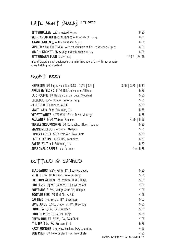## LATE NGHT SNACKS TOT 01:00

| <b>BITTERBALLEN</b> with mustard 6 pes.                                                                | 6,95            |
|--------------------------------------------------------------------------------------------------------|-----------------|
| <b>VEGETARIAN BITTERBALLEN</b> $\textcircled{v}$ with mustard 6 pcs.                                   | 6,95            |
| <b>KAASTENGELS</b> $\odot$ with chili sauce 6 pcs.                                                     | 6,95            |
| <b>MINI FRIKANDELLETJES</b> with mayonnaise and curry ketchup $\beta$ pcs.                             | 6,95            |
| <b>KIMCHI KROKETJES S</b> vegan kimchi snack $4$ pcs.                                                  | 6,95            |
| BITTERGARNITUUR 12/24 pcs.                                                                             | $12,95$   24,95 |
| mix of bitterballen, kaastengels and mini frikandelletjes with mayonnaise,<br>curry ketchup en mosterd |                 |

#### DRAFT BEER

| <b>HEINEKEN</b> 5% lager, Heineken 0,18L   0,25L   0,5L | $3,00$   $3,20$   6,30 |
|---------------------------------------------------------|------------------------|
| <b>AFFLIGEM BLOND</b> 6,7% Belgian Blonde, Affligem     | 5,25                   |
| <b>LA CHOUFFE</b> 8% Belgian Blonde, Duvel Moortgat     | 5,25                   |
| <b>LELLEBEL</b> 5,7% Blonde, Eeuwige Jeugd              | 5,25                   |
| <b>SEEF BIER</b> 6% Blonde, A.B.C.                      | 5,25                   |
| <b>IJWIT</b> White Beer, Brouwerij 't IJ                | 5,25                   |
| <b>VEDETT WHITE</b> 4,7% White Beer, Duvel Moortgat     | 5.25                   |
| <b>PAULANER</b> 5,5% Weizen, Paulaner                   | 4,95   6,95            |
| <b>TEXELS SKUUMKOPPE</b> 6% Dark Wheat Beer. Texelse    | 5.25                   |
| <b>MANNENLIEFDE</b> 6% Saison, Oedipus                  | 5,25                   |
| <b>FUNKY FALCON</b> 5,2% Pale Ale, Two Chefs            | 5,25                   |
| <b>LAGUNITAS IPA</b> 6,2% IPA, Lagunitas                | 5,50                   |
| <b>ZATTE</b> 8% Tripel, Brouwerij 't IJ                 | 5,50                   |
| <b>SEASONAL DRAFTS</b> ask the team                     | from $5.25$            |
|                                                         |                        |

#### BOTTLED & CANNED

| <b>GLADJANUS</b> 5.2% White IPA, Eeuwige Jeugd       | 5,25                                |
|------------------------------------------------------|-------------------------------------|
| <b>NITWIT</b> 6%, White Beer, Eeuwige Jeugd          | 5,25                                |
| <b>BIERTUIN WEIZEN</b> 5%, Weizen (0,4L), Uiltie     | 5,95                                |
| <b>BIRI</b> 4,7%, Lager, Brouwerij 't ij x Waterkant | 4,95                                |
| <b>POLYAMORIE</b> 5%, Mango Sour Ale, Oedipus        | 4.95                                |
| <b>BOOTJESBIER</b> 7% Red Ale, A.B.C.                | 4,95                                |
| <b>DAYTIME</b> 4%, Session IPA, Lagunitas            | 5,50                                |
| <b>ELVIS JUICE</b> 6,5%, Grapefruit IPA, Brewdog     | 5.25                                |
| <b>PUNK IPA</b> 5,6%, IPA, Brewdog                   | 5,25                                |
| <b>BIRD OF PREY</b> 5,8%, IPA, Uiltje                | 5.25                                |
| <b>GREEN BULLET</b> 5,7%, IPA, Two Chefs             | 4.95                                |
| <b>'T IJ IPA</b> 6%, IPA, Brouwerii 't IJ            | 5.25                                |
| <b>HAZY WONDER</b> 6%, New England IPA, Lagunitas    | 4,95                                |
| <b>BON CHEF</b> 5% New England IPA, Two Chefs        | 4.95                                |
|                                                      | MORE BOTTLED & CANNED $\rightarrow$ |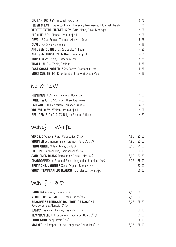| <b>DR. RAPTOR</b> 9,2% Imperial IPA, Uiltie                                        | 5,75 |
|------------------------------------------------------------------------------------|------|
| <b>FRESH &amp; FAST</b> 5-9% 0,441 New IPA every two weeks, Uiltie (ask the staff) | 7,25 |
| <b>VEDETT EXTRA PILSNER</b> 5,2% Extra Blond, Duvel Moortgat                       | 4,95 |
| <b>BLONDIE</b> 5,8% Blonde, Brouwerij 't IJ                                        | 4.95 |
| <b>ORVAL</b> 6,2%, Belgian Trappist, Abbaye d'Orval                                | 5.75 |
| <b>DUVEL</b> 8,4% Heavy Blonde                                                     | 4.95 |
| <b>AFFLIGEM DUBBEL</b> 6,7% Double, Affligem                                       | 4.95 |
| <b>AFFLIGEM TRIPEL</b> White Beer, Brouwerij 't IJ                                 | 4.95 |
| <b>TRIPEL</b> 8,4% Triple, Brothers in Law                                         | 5,25 |
| <b>THAI THAI</b> 8%, Triple, Oedipus                                               | 5,25 |
| <b>EAST COAST PORTER</b> 7,7% Porter, Brothers in Law                              | 5.25 |
| <b>MORT SUBITE</b> 4%, Kriek Lambic, Brouwerij Alken-Maes                          | 4,95 |

### NO & LOW

| <b>HEINEKEN</b> 0.0% Non-alcoholic, Heineken        | 3.50 |
|-----------------------------------------------------|------|
| <b>PUNK IPA A.F</b> 0.5% Lager, Brewdog Brewery     | 4.50 |
| <b>PAULANER</b> 0.0% Weizen, Paulaner Brauerei      | 4.95 |
| <b>VRIJWIT</b> 0,5%, Weizen, Brouwerij 't IJ        | 4.95 |
| <b>AFFLIGEM BLOND</b> 0.0% Belgian Blonde, Affligem | 4.50 |

### WINES - WHITE

| <b>VERDEJO</b> Vegaval Plata, Valdepeñas (Sp)                  | $4,95$   22,50 |
|----------------------------------------------------------------|----------------|
| <b>VIOGNIER</b> Les Vignerons de Florensac, Pays d'Oc (Fr)     | $4,95$   22,50 |
| <b>PINOT GRIGIO</b> Villa di Mare, Sicily (It)                 | $5,25$   25,50 |
| <b>RIESLING</b> Raddeck Bio, Rheinhessen (De)                  | 30.00          |
| <b>SAUVIGNON BLANC</b> Domaine de Pierre, Loire (Fr)           | $6,00$   33,50 |
| <b>CHARDONNAY</b> Le Patapouf Blanc, Languedoc-Roussillon (Fr) | $6,75$   35,00 |
| <b>GRENACHE, VIOGNIER</b> Xavier Vignon, Rhône (Fr)            | 33,50          |
| <b>VIURA, TEMPRANILLO BLANCO Rioja Blanco, Rioja (Sp)</b>      | 35,00          |

### WINES - RED

| <b>BARBERA</b> Amonte, Piemonte (It)                                      | $4,95$   22,50   |
|---------------------------------------------------------------------------|------------------|
| <b>NERO D'AVOLA / MERLOT</b> Irena, Sicily (It)                           | $4,95$   22,50   |
| ARAGONEZ / TRINCADEIRA / TOURIGA NACIONAL<br>Paço de Conde, Alantejo (Pt) | $5,25$   25,50   |
| <b>GAMAY</b> Beaujolais 'Lancie', Beaujolais (Fr)                         | 30.00            |
| <b>TEMPRANILLO</b> El Arte de Vivir, Ribera del Duero (Sp)                | 32.50            |
| <b>PINOT NOIR</b> Stepp, Pfalz $(\mathcal{D}e)$                           | 35.00            |
| <b>MALBEC</b> Le Patapouf Rouge, Languedoc-Roussillon (Fr)                | $6,75$   $35,00$ |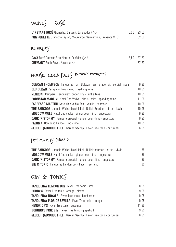### WINES - ROSÉ

| <b>L'INSTANT ROSÉ</b> Grenache, Cinsault, Languedoc (Fr)                | $5,00$   23,50 |
|-------------------------------------------------------------------------|----------------|
| <b>POMPONETTE</b> Grenache, Syrah, Mourvèrde, Vermentino, Provence (Fr) | 32.50          |

#### $BUBBLES$

| <b>CAVA</b> Ferré Catasús Brut Nature, Penèdes (Sp) | $5,50$   27,50 |
|-----------------------------------------------------|----------------|
| <b>CREMANT</b> Bubb Royal, Alsace (Fr.)             | 37.50          |

## HOUSE COCKTAILS RAMONA'S FAVOURITES

| <b>DUNCAN THOMPSON</b> Tanqueray Ten - Belsazar rose - grapefruit - cordial - soda | 9.95  |
|------------------------------------------------------------------------------------|-------|
| <b>OLD CUBAN</b> Zacapa - citrus - mint - sparkling wine                           | 10.95 |
| <b>NEGRONI</b> Campari - Tanqueray London Dry - Punt e Mes                         | 10.95 |
| <b>PORNSTAR MARTINI</b> Ketel One Vodka - citrus - mint - sparkling wine           | 11,95 |
| <b>ESPRESSO MARTINI</b> Ketel One vodka Ten - Kahlúa - espresso                    | 10.95 |
| <b>THE BARCODE</b> Johnnie Walker black label - Bulleit Bourbon - citrus - IJwit   | 10,95 |
| <b>MOSCOW MULE</b> Ketel One vodka - ginger beer - lime - angostura                | 9.95  |
| <b>DARK 'N STORMY</b> Pampero especial - ginger beer - lime - angostura            | 9.95  |
| <b>PALOMA</b> Don Julio blanco - Ting - lime                                       | 10.95 |
| SEEDLIP (ALCOHOL FREE) Garden Seedlip - Fever Tree tonic - cucumber                | 6.95  |

### PITCHERS SERVES 5

| <b>THE BARCODE</b> Johnnie Walker black label - Bulleit bourbon - citrus - IJwit | 35 |
|----------------------------------------------------------------------------------|----|
| <b>MOSCOW MULE</b> Ketel One vodka - ginger beer - lime - angostura              | 35 |
| <b>DARK 'N STORMY</b> Pampero especial - ginger beer - lime - angostura          | 35 |
| <b>GIN &amp; TONIC</b> Tangueray London Dry - Fever Tree tonic                   | 35 |

#### $GIN & TONIC$

| <b>TANQUERAY LONDON DRY</b> Fever Tree tonic - lime                        | 8.95  |
|----------------------------------------------------------------------------|-------|
| <b>BOBBY'S</b> Fever Tree tonic - orange - cloves                          | 9.95  |
| <b>TANQUERAY ROYALE</b> Fever Tree tonic - blueberries                     | 9.95  |
| <b>TANQUERAY FLOR DE SEVILLA</b> Fever Tree tonic - orange                 | 9.95  |
| <b>HENDRICK'S</b> Fever Tree tonic - cucumber                              | 11.95 |
| <b>GORDON'S PINK GIN</b> Fever Tree tonic - grapefruit                     | 9.95  |
| <b>SEEDLIP (ALCOHOL FREE)</b> Garden Seedlip - Fever Tree tonic - cucumber | 6.95  |